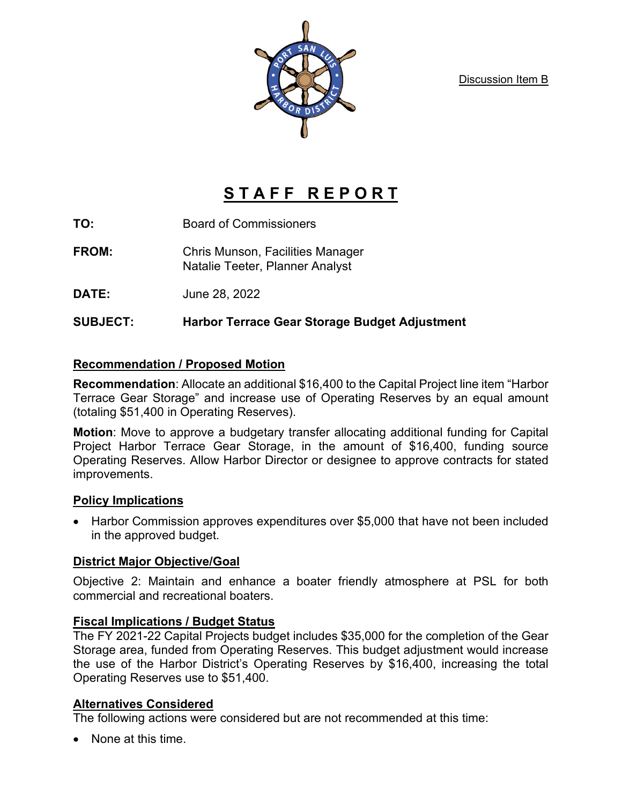Discussion Item B



# STAFF REPORT

**TO:** Board of Commissioners

**FROM:** Chris Munson, Facilities Manager Natalie Teeter, Planner Analyst

**DATE:** June 28, 2022

## **SUBJECT: Harbor Terrace Gear Storage Budget Adjustment**

## **Recommendation / Proposed Motion**

**Recommendation**: Allocate an additional \$16,400 to the Capital Project line item "Harbor Terrace Gear Storage" and increase use of Operating Reserves by an equal amount (totaling \$51,400 in Operating Reserves).

**Motion**: Move to approve a budgetary transfer allocating additional funding for Capital Project Harbor Terrace Gear Storage, in the amount of \$16,400, funding source Operating Reserves. Allow Harbor Director or designee to approve contracts for stated improvements.

#### **Policy Implications**

• Harbor Commission approves expenditures over \$5,000 that have not been included in the approved budget.

#### **District Major Objective/Goal**

Objective 2: Maintain and enhance a boater friendly atmosphere at PSL for both commercial and recreational boaters.

## **Fiscal Implications / Budget Status**

The FY 2021-22 Capital Projects budget includes \$35,000 for the completion of the Gear Storage area, funded from Operating Reserves. This budget adjustment would increase the use of the Harbor District's Operating Reserves by \$16,400, increasing the total Operating Reserves use to \$51,400.

## **Alternatives Considered**

The following actions were considered but are not recommended at this time:

• None at this time.